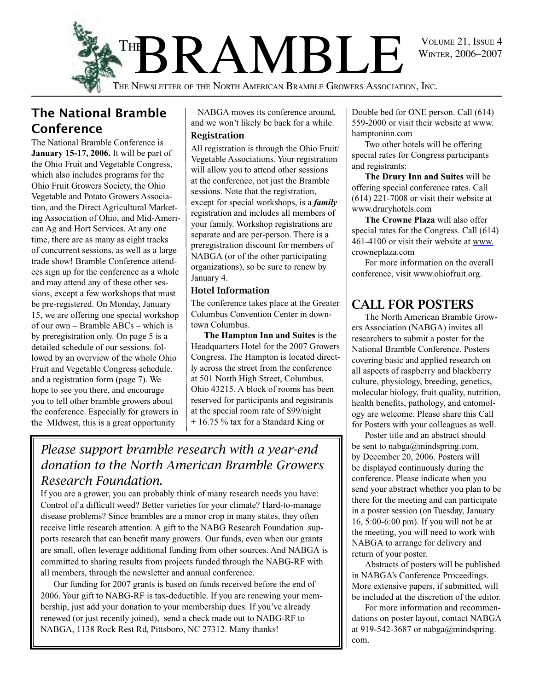

### The National Bramble Conference

The National Bramble Conference is **January 15-17, 2006.** It will be part of the Ohio Fruit and Vegetable Congress, which also includes programs for the Ohio Fruit Growers Society, the Ohio Vegetable and Potato Growers Association, and the Direct Agricultural Marketing Association of Ohio, and Mid-American Ag and Hort Services. At any one time, there are as many as eight tracks of concurrent sessions, as well as a large trade show! Bramble Conference attendees sign up for the conference as a whole and may attend any of these other sessions, except a few workshops that must be pre-registered. On Monday, January 15, we are offering one special workshop of our own – Bramble ABCs – which is by preregistration only. On page 5 is a detailed schedule of our sessions. followed by an overview of the whole Ohio Fruit and Vegetable Congress schedule. and a registration form (page 7). We hope to see you there, and encourage you to tell other bramble growers about the conference. Especially for growers in the MIdwest, this is a great opportunity

– NABGA moves its conference around, and we won't likely be back for a while.

#### Registration

All registration is through the Ohio Fruit/ Vegetable Associations. Your registration will allow you to attend other sessions at the conference, not just the Bramble sessions. Note that the registration, except for special workshops, is a *family*  registration and includes all members of your family. Workshop registrations are separate and are per-person. There is a preregistration discount for members of NABGA (or of the other participating organizations), so be sure to renew by January 4.

#### Hotel Information

The conference takes place at the Greater Columbus Convention Center in downtown Columbus.

**The Hampton Inn and Suites** is the Headquarters Hotel for the 2007 Growers Congress. The Hampton is located directly across the street from the conference at 501 North High Street, Columbus, Ohio 43215. A block of rooms has been reserved for participants and registrants at the special room rate of \$99/night + 16.75 % tax for a Standard King or

### *Please support bramble research with a year-end donation to the North American Bramble Growers Research Foundation.*

If you are a grower, you can probably think of many research needs you have: Control of a difficult weed? Better varieties for your climate? Hard-to-manage disease problems? Since brambles are a minor crop in many states, they often receive little research attention. A gift to the NABG Research Foundation supports research that can benefit many growers. Our funds, even when our grants are small, often leverage additional funding from other sources. And NABGA is committed to sharing results from projects funded through the NABG-RF with all members, through the newsletter and annual conference.

Our funding for 2007 grants is based on funds received before the end of 2006. Your gift to NABG-RF is tax-deductible. If you are renewing your membership, just add your donation to your membership dues. If you've already renewed (or just recently joined), send a check made out to NABG-RF to NABGA, 1138 Rock Rest Rd, Pittsboro, NC 27312. Many thanks!

Double bed for ONE person. Call (614) 559-2000 or visit their website at www. hamptoninn.com

Two other hotels will be offering special rates for Congress participants and registrants:

**The Drury Inn and Suites** will be offering special conference rates. Call (614) 221-7008 or visit their website at www.druryhotels.com

**The Crowne Plaza** will also offer special rates for the Congress. Call (614) 461-4100 or visit their website at www. crowneplaza.com

For more information on the overall conference, visit www.ohiofruit.org.

### CALL FOR POSTERS

The North American Bramble Growers Association (NABGA) invites all researchers to submit a poster for the National Bramble Conference. Posters covering basic and applied research on all aspects of raspberry and blackberry culture, physiology, breeding, genetics, molecular biology, fruit quality, nutrition, health benefits, pathology, and entomology are welcome. Please share this Call for Posters with your colleagues as well.

Poster title and an abstract should be sent to nabga@mindspring.com, by December 20, 2006. Posters will be displayed continuously during the conference. Please indicate when you send your abstract whether you plan to be there for the meeting and can participate in a poster session (on Tuesday, January 16, 5:00-6:00 pm). If you will not be at the meeting, you will need to work with NABGA to arrange for delivery and return of your poster.

Abstracts of posters will be published in NABGA's Conference Proceedings. More extensive papers, if submitted, will be included at the discretion of the editor.

For more information and recommendations on poster layout, contact NABGA at 919-542-3687 or nabga@mindspring. com.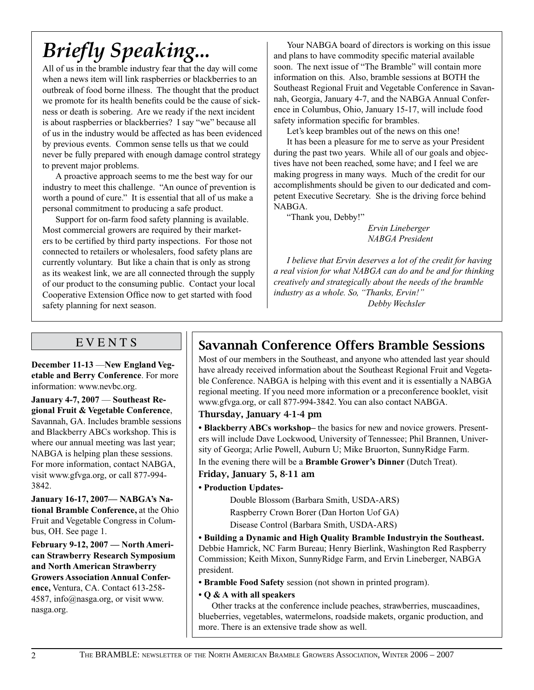# *Briefly Speaking...*

All of us in the bramble industry fear that the day will come when a news item will link raspberries or blackberries to an outbreak of food borne illness. The thought that the product we promote for its health benefits could be the cause of sickness or death is sobering. Are we ready if the next incident is about raspberries or blackberries? I say "we" because all of us in the industry would be affected as has been evidenced by previous events. Common sense tells us that we could never be fully prepared with enough damage control strategy to prevent major problems.

A proactive approach seems to me the best way for our industry to meet this challenge. "An ounce of prevention is worth a pound of cure." It is essential that all of us make a personal commitment to producing a safe product.

Support for on-farm food safety planning is available. Most commercial growers are required by their marketers to be certified by third party inspections. For those not connected to retailers or wholesalers, food safety plans are currently voluntary. But like a chain that is only as strong as its weakest link, we are all connected through the supply of our product to the consuming public. Contact your local Cooperative Extension Office now to get started with food safety planning for next season.

Your NABGA board of directors is working on this issue and plans to have commodity specific material available soon. The next issue of "The Bramble" will contain more information on this. Also, bramble sessions at BOTH the Southeast Regional Fruit and Vegetable Conference in Savannah, Georgia, January 4-7, and the NABGA Annual Conference in Columbus, Ohio, January 15-17, will include food safety information specific for brambles.

Let's keep brambles out of the news on this one!

It has been a pleasure for me to serve as your President during the past two years. While all of our goals and objectives have not been reached, some have; and I feel we are making progress in many ways. Much of the credit for our accomplishments should be given to our dedicated and competent Executive Secretary. She is the driving force behind NABGA.

"Thank you, Debby!"

 *Ervin Lineberger NABGA President*

*I believe that Ervin deserves a lot of the credit for having a real vision for what NABGA can do and be and for thinking creatively and strategically about the needs of the bramble industry as a whole. So, "Thanks, Ervin!" Debby Wechsler*

### **EVENTS**

**December 11-13** —**New England Vegetable and Berry Conference**. For more information: www.nevbc.org.

**January 4-7, 2007** — **Southeast Regional Fruit & Vegetable Conference**, Savannah, GA. Includes bramble sessions and Blackberry ABCs workshop. This is where our annual meeting was last year; NABGA is helping plan these sessions. For more information, contact NABGA, visit www.gfvga.org, or call 877-994- 3842.

**January 16-17, 2007— NABGA's National Bramble Conference,** at the Ohio Fruit and Vegetable Congress in Columbus, OH. See page 1.

**February 9-12, 2007 — North American Strawberry Research Symposium and North American Strawberry Growers Association Annual Conference,** Ventura, CA. Contact 613-258- 4587, info@nasga.org, or visit www. nasga.org.

### Savannah Conference Offers Bramble Sessions

Most of our members in the Southeast, and anyone who attended last year should have already received information about the Southeast Regional Fruit and Vegetable Conference. NABGA is helping with this event and it is essentially a NABGA regional meeting. If you need more information or a preconference booklet, visit www.gfvga.org, or call 877-994-3842. You can also contact NABGA.

#### Thursday, January 4-1-4 pm

**• Blackberry ABCs workshop–** the basics for new and novice growers. Presenters will include Dave Lockwood, University of Tennessee; Phil Brannen, University of Georga; Arlie Powell, Auburn U; Mike Bruorton, SunnyRidge Farm. In the evening there will be a **Bramble Grower's Dinner** (Dutch Treat).

#### Friday, January 5, 8-11 am

#### **• Production Updates-**

Double Blossom (Barbara Smith, USDA-ARS)

Raspberry Crown Borer (Dan Horton Uof GA)

Disease Control (Barbara Smith, USDA-ARS)

**• Building a Dynamic and High Quality Bramble Industryin the Southeast.**  Debbie Hamrick, NC Farm Bureau; Henry Bierlink, Washington Red Raspberry Commission; Keith Mixon, SunnyRidge Farm, and Ervin Lineberger, NABGA president.

**• Bramble Food Safety** session (not shown in printed program).

**• Q & A with all speakers**

Other tracks at the conference include peaches, strawberries, muscaadines, blueberries, vegetables, watermelons, roadside makets, organic production, and more. There is an extensive trade show as well.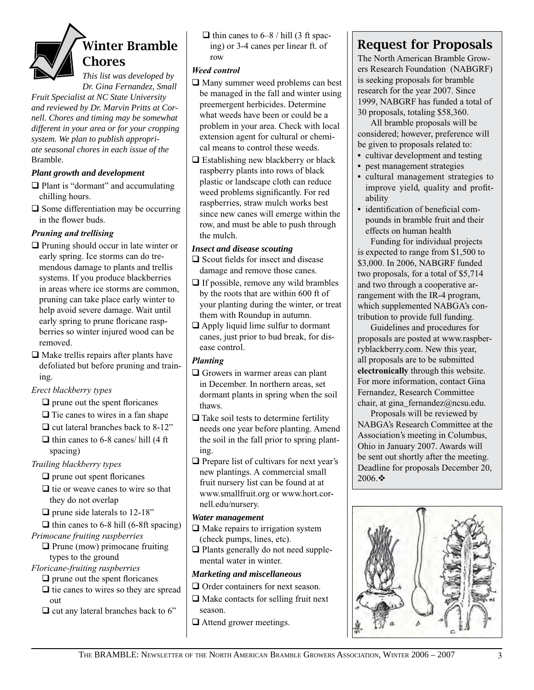

*Dr. Gina Fernandez, Small Fruit Specialist at NC State University* 

*and reviewed by Dr. Marvin Pritts at Cornell. Chores and timing may be somewhat different in your area or for your cropping system. We plan to publish appropriate seasonal chores in each issue of the*  Bramble.

#### *Plant growth and development*

- $\Box$  Plant is "dormant" and accumulating chilling hours.
- $\Box$  Some differentiation may be occurring in the flower buds.

#### *Pruning and trellising*

- $\Box$  Pruning should occur in late winter or early spring. Ice storms can do tremendous damage to plants and trellis systems. If you produce blackberries in areas where ice storms are common, pruning can take place early winter to help avoid severe damage. Wait until early spring to prune floricane raspberries so winter injured wood can be removed.
- $\Box$  Make trellis repairs after plants have defoliated but before pruning and training.

#### *Erect blackberry types*

- $\Box$  prune out the spent floricanes
- $\Box$  Tie canes to wires in a fan shape
- $\Box$  cut lateral branches back to 8-12"
- $\Box$  thin canes to 6-8 canes/ hill (4 ft) spacing)

*Trailing blackberry types*

- $\Box$  prune out spent floricanes
- $\Box$  tie or weave canes to wire so that they do not overlap
- $\Box$  prune side laterals to 12-18"
- $\Box$  thin canes to 6-8 hill (6-8ft spacing)

*Primocane fruiting raspberries*

 $\Box$  Prune (mow) primocane fruiting types to the ground

- *Floricane-fruiting raspberries*
	- $\Box$  prune out the spent floricanes
	- $\Box$  tie canes to wires so they are spread out
	- $\Box$  cut any lateral branches back to 6"

 $\Box$  thin canes to 6–8 / hill (3 ft spacing) or 3-4 canes per linear ft. of row

#### *Weed control*

- $\Box$  Many summer weed problems can best be managed in the fall and winter using preemergent herbicides. Determine what weeds have been or could be a problem in your area. Check with local extension agent for cultural or chemical means to control these weeds.
- $\Box$  Establishing new blackberry or black raspberry plants into rows of black plastic or landscape cloth can reduce weed problems significantly. For red raspberries, straw mulch works best since new canes will emerge within the row, and must be able to push through the mulch.

#### *Insect and disease scouting*

- $\Box$  Scout fields for insect and disease damage and remove those canes.
- $\Box$  If possible, remove any wild brambles by the roots that are within 600 ft of your planting during the winter, or treat them with Roundup in autumn.
- $\Box$  Apply liquid lime sulfur to dormant canes, just prior to bud break, for disease control.

#### *Planting*

- $\Box$  Growers in warmer areas can plant in December. In northern areas, set dormant plants in spring when the soil thaws.
- $\Box$  Take soil tests to determine fertility needs one year before planting. Amend the soil in the fall prior to spring planting.
- $\Box$  Prepare list of cultivars for next year's new plantings. A commercial small fruit nursery list can be found at at www.smallfruit.org or www.hort.cornell.edu/nursery.

#### *Water management*

- $\Box$  Make repairs to irrigation system (check pumps, lines, etc).
- $\Box$  Plants generally do not need supplemental water in winter.

#### *Marketing and miscellaneous*

- $\Box$  Order containers for next season.  $\Box$  Make contacts for selling fruit next season.
- $\Box$  Attend grower meetings.

### Request for Proposals

The North American Bramble Growers Research Foundation (NABGRF) is seeking proposals for bramble research for the year 2007. Since 1999, NABGRF has funded a total of 30 proposals, totaling \$58,360.

All bramble proposals will be considered; however, preference will be given to proposals related to:

- cultivar development and testing
- **•** pest management strategies
- **•** cultural management strategies to improve yield, quality and profitability
- **•** identification of beneficial compounds in bramble fruit and their effects on human health

Funding for individual projects is expected to range from \$1,500 to \$3,000. In 2006, NABGRF funded two proposals, for a total of \$5,714 and two through a cooperative arrangement with the IR-4 program, which supplemented NABGA's contribution to provide full funding.

Guidelines and procedures for proposals are posted at www.raspberryblackberry.com. New this year, all proposals are to be submitted **electronically** through this website. For more information, contact Gina Fernandez, Research Committee chair, at gina\_fernandez@ncsu.edu.

Proposals will be reviewed by NABGA's Research Committee at the Association's meeting in Columbus, Ohio in January 2007. Awards will be sent out shortly after the meeting. Deadline for proposals December 20, 2006. $*$ 

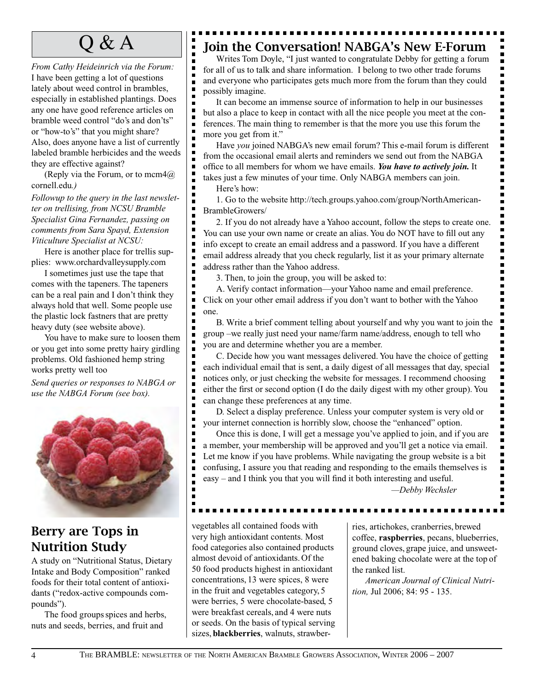*From Cathy Heideinrich via the Forum:*  I have been getting a lot of questions lately about weed control in brambles, especially in established plantings. Does any one have good reference articles on bramble weed control "do's and don'ts" or "how-to's" that you might share? Also, does anyone have a list of currently labeled bramble herbicides and the weeds they are effective against?

(Reply via the Forum, or to mcm $4@$ ) cornell.edu*.)*

*Followup to the query in the last newsletter on trellising, from NCSU Bramble Specialist Gina Fernandez, passing on comments from Sara Spayd, Extension Viticulture Specialist at NCSU:* 

Here is another place for trellis supplies: www.orchardvalleysupply.com

I sometimes just use the tape that comes with the tapeners. The tapeners can be a real pain and I don't think they always hold that well. Some people use the plastic lock fastners that are pretty heavy duty (see website above).

You have to make sure to loosen them or you get into some pretty hairy girdling problems. Old fashioned hemp string works pretty well too

*Send queries or responses to NABGA or use the NABGA Forum (see box).*



### Berry are Tops in Nutrition Study

A study on "Nutritional Status, Dietary Intake and Body Composition" ranked foods for their total content of antioxidants ("redox-active compounds compounds").

The food groups spices and herbs, nuts and seeds, berries, and fruit and

### $\mathsf{Q} \& \mathsf{A}$   $\parallel$  Toin the Conversation! NABGA's New E-Forum

Writes Tom Doyle, "I just wanted to congratulate Debby for getting a forum for all of us to talk and share information. I belong to two other trade forums and everyone who participates gets much more from the forum than they could possibly imagine.

It can become an immense source of information to help in our businesses but also a place to keep in contact with all the nice people you meet at the conferences. The main thing to remember is that the more you use this forum the more you get from it."

Have *you* joined NABGA's new email forum? This e-mail forum is different from the occasional email alerts and reminders we send out from the NABGA office to all members for whom we have emails. *You have to actively join.* It takes just a few minutes of your time. Only NABGA members can join.

Here's how:

п Е

П

п Е

Е

п

E Е  $\blacksquare$ 

Е

п

п п

п

П

п

п

п

 $\blacksquare$ 

п

1. Go to the website http://tech.groups.yahoo.com/group/NorthAmerican-BrambleGrowers/

2. If you do not already have a Yahoo account, follow the steps to create one. You can use your own name or create an alias. You do NOT have to fill out any info except to create an email address and a password. If you have a different email address already that you check regularly, list it as your primary alternate address rather than the Yahoo address.

3. Then, to join the group, you will be asked to:

A. Verify contact information—your Yahoo name and email preference. Click on your other email address if you don't want to bother with the Yahoo one.

B. Write a brief comment telling about yourself and why you want to join the group –we really just need your name/farm name/address, enough to tell who you are and determine whether you are a member.

C. Decide how you want messages delivered. You have the choice of getting each individual email that is sent, a daily digest of all messages that day, special notices only, or just checking the website for messages. I recommend choosing either the first or second option (I do the daily digest with my other group). You can change these preferences at any time.

D. Select a display preference. Unless your computer system is very old or your internet connection is horribly slow, choose the "enhanced" option.

Once this is done, I will get a message you've applied to join, and if you are a member, your membership will be approved and you'll get a notice via email. Let me know if you have problems. While navigating the group website is a bit confusing, I assure you that reading and responding to the emails themselves is easy – and I think you that you will find it both interesting and useful.

*—Debby Wechsler*

 $\blacksquare$ 

 $\blacksquare$  $\blacksquare$  $\blacksquare$  $\blacksquare$  $\blacksquare$  $\blacksquare$ Ξ  $\blacksquare$  $\blacksquare$  $\overline{\phantom{a}}$  $\blacksquare$  $\blacksquare$ Ē

 $\blacksquare$ 

 $\blacksquare$ 

 $\blacksquare$ 

 $\blacksquare$ 

 $\blacksquare$ 

 $\blacksquare$  $\blacksquare$  $\blacksquare$  $\blacksquare$  $\blacksquare$ 

 $\blacksquare$ 

 $\blacksquare$  $\blacksquare$ 

 $\blacksquare$ 

 $\blacksquare$  $\blacksquare$  $\blacksquare$  $\blacksquare$ 

п

 $\blacksquare$ 

 $\blacksquare$ 

 $\blacksquare$  $\blacksquare$ 

 $\blacksquare$  $\blacksquare$  $\blacksquare$  $\blacksquare$ 

vegetables all contained foods with very high antioxidant contents. Most food categories also contained products almost devoid of antioxidants. Of the 50 food products highest in antioxidant concentrations, 13 were spices, 8 were in the fruit and vegetables category, 5 were berries, 5 were chocolate-based, 5 were breakfast cereals, and 4 were nuts or seeds. On the basis of typical serving sizes, **blackberries**, walnuts, strawber-

ries, artichokes, cranberries, brewed coffee, **raspberries**, pecans, blueberries, ground cloves, grape juice, and unsweetened baking chocolate were at the top of the ranked list.

*American Journal of Clinical Nutrition,* Jul 2006; 84: 95 - 135.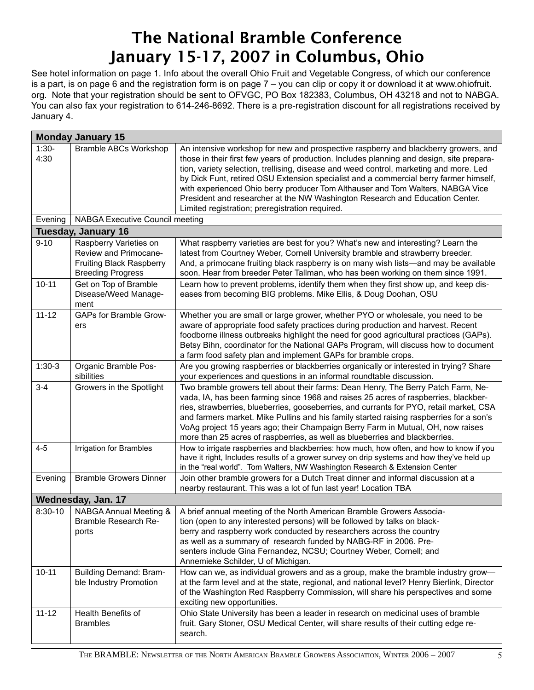### The National Bramble Conference January 15-17, 2007 in Columbus, Ohio

See hotel information on page 1. Info about the overall Ohio Fruit and Vegetable Congress, of which our conference is a part, is on page 6 and the registration form is on page 7 – you can clip or copy it or download it at www.ohiofruit. org. Note that your registration should be sent to OFVGC, PO Box 182383, Columbus, OH 43218 and not to NABGA. You can also fax your registration to 614-246-8692. There is a pre-registration discount for all registrations received by January 4.

|                 | <b>Monday January 15</b>                                                                                       |                                                                                                                                                                                                                                                                                                                                                                                                                                                                                                                                                                                          |
|-----------------|----------------------------------------------------------------------------------------------------------------|------------------------------------------------------------------------------------------------------------------------------------------------------------------------------------------------------------------------------------------------------------------------------------------------------------------------------------------------------------------------------------------------------------------------------------------------------------------------------------------------------------------------------------------------------------------------------------------|
| $1:30-$<br>4:30 | <b>Bramble ABCs Workshop</b>                                                                                   | An intensive workshop for new and prospective raspberry and blackberry growers, and<br>those in their first few years of production. Includes planning and design, site prepara-<br>tion, variety selection, trellising, disease and weed control, marketing and more. Led<br>by Dick Funt, retired OSU Extension specialist and a commercial berry farmer himself,<br>with experienced Ohio berry producer Tom Althauser and Tom Walters, NABGA Vice<br>President and researcher at the NW Washington Research and Education Center.<br>Limited registration; preregistration required. |
| Evening         | <b>NABGA Executive Council meeting</b>                                                                         |                                                                                                                                                                                                                                                                                                                                                                                                                                                                                                                                                                                          |
|                 | <b>Tuesday, January 16</b>                                                                                     |                                                                                                                                                                                                                                                                                                                                                                                                                                                                                                                                                                                          |
| $9 - 10$        | Raspberry Varieties on<br>Review and Primocane-<br><b>Fruiting Black Raspberry</b><br><b>Breeding Progress</b> | What raspberry varieties are best for you? What's new and interesting? Learn the<br>latest from Courtney Weber, Cornell University bramble and strawberry breeder.<br>And, a primocane fruiting black raspberry is on many wish lists—and may be available<br>soon. Hear from breeder Peter Tallman, who has been working on them since 1991.                                                                                                                                                                                                                                            |
| $10 - 11$       | Get on Top of Bramble<br>Disease/Weed Manage-<br>ment                                                          | Learn how to prevent problems, identify them when they first show up, and keep dis-<br>eases from becoming BIG problems. Mike Ellis, & Doug Doohan, OSU                                                                                                                                                                                                                                                                                                                                                                                                                                  |
| $11 - 12$       | <b>GAPs for Bramble Grow-</b><br>ers                                                                           | Whether you are small or large grower, whether PYO or wholesale, you need to be<br>aware of appropriate food safety practices during production and harvest. Recent<br>foodborne illness outbreaks highlight the need for good agricultural practices (GAPs).<br>Betsy Bihn, coordinator for the National GAPs Program, will discuss how to document<br>a farm food safety plan and implement GAPs for bramble crops.                                                                                                                                                                    |
| $1:30-3$        | Organic Bramble Pos-<br>sibilities                                                                             | Are you growing raspberries or blackberries organically or interested in trying? Share<br>your experiences and questions in an informal roundtable discussion.                                                                                                                                                                                                                                                                                                                                                                                                                           |
| $3 - 4$         | Growers in the Spotlight                                                                                       | Two bramble growers tell about their farms: Dean Henry, The Berry Patch Farm, Ne-<br>vada, IA, has been farming since 1968 and raises 25 acres of raspberries, blackber-<br>ries, strawberries, blueberries, gooseberries, and currants for PYO, retail market, CSA<br>and farmers market. Mike Pullins and his family started raising raspberries for a son's<br>VoAg project 15 years ago; their Champaign Berry Farm in Mutual, OH, now raises<br>more than 25 acres of raspberries, as well as blueberries and blackberries.                                                         |
| $4 - 5$         | Irrigation for Brambles                                                                                        | How to irrigate raspberries and blackberries: how much, how often, and how to know if you<br>have it right, Includes results of a grower survey on drip systems and how they've held up<br>in the "real world". Tom Walters, NW Washington Research & Extension Center                                                                                                                                                                                                                                                                                                                   |
| Evening         | <b>Bramble Growers Dinner</b>                                                                                  | Join other bramble growers for a Dutch Treat dinner and informal discussion at a<br>nearby restaurant. This was a lot of fun last year! Location TBA                                                                                                                                                                                                                                                                                                                                                                                                                                     |
|                 | Wednesday, Jan. 17                                                                                             |                                                                                                                                                                                                                                                                                                                                                                                                                                                                                                                                                                                          |
| $8:30-10$       | NABGA Annual Meeting &<br>Bramble Research Re-<br>ports                                                        | A brief annual meeting of the North American Bramble Growers Associa-<br>tion (open to any interested persons) will be followed by talks on black-<br>berry and raspberry work conducted by researchers across the country<br>as well as a summary of research funded by NABG-RF in 2006. Pre-<br>senters include Gina Fernandez, NCSU; Courtney Weber, Cornell; and<br>Annemieke Schilder, U of Michigan.                                                                                                                                                                               |
| $10 - 11$       | <b>Building Demand: Bram-</b><br>ble Industry Promotion                                                        | How can we, as individual growers and as a group, make the bramble industry grow-<br>at the farm level and at the state, regional, and national level? Henry Bierlink, Director<br>of the Washington Red Raspberry Commission, will share his perspectives and some<br>exciting new opportunities.                                                                                                                                                                                                                                                                                       |
| $11 - 12$       | Health Benefits of<br><b>Brambles</b>                                                                          | Ohio State University has been a leader in research on medicinal uses of bramble<br>fruit. Gary Stoner, OSU Medical Center, will share results of their cutting edge re-<br>search.                                                                                                                                                                                                                                                                                                                                                                                                      |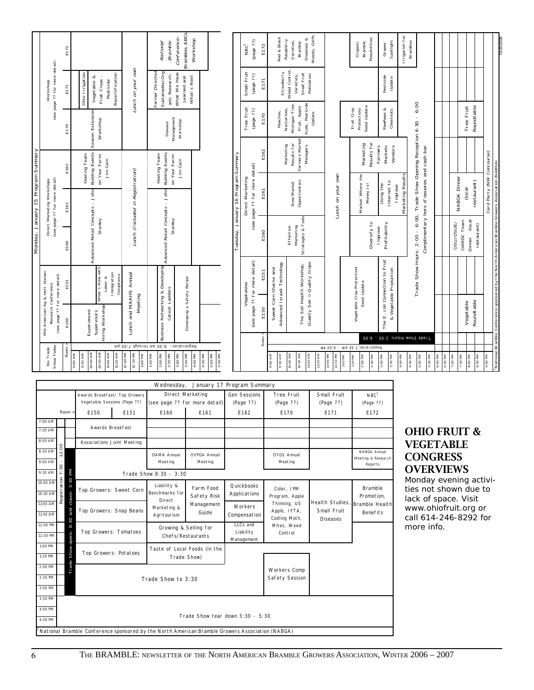|                                    |                                                                                      | E172                         |                                                                                                 |                                   | Brambles ABCs<br>Conference:<br>National<br><b>Bramble</b>                                    | Workshop                                                 |                                     | NBC <sup>1</sup>                    | (c.c. abed)<br>E172                   | Red & Black                                           | Diseases &<br>Raspberry<br>Varieties,<br><b>Bramble</b>         | Weeds, GAPs                  |                                                   |         | Possibilities<br>Bramble<br>Organic           | Spotlight<br>Grower                                       | Irrigation for<br><b>Brambles</b> |                                                                                                                      |                     |          |              |                                |                    |                                                              |
|------------------------------------|--------------------------------------------------------------------------------------|------------------------------|-------------------------------------------------------------------------------------------------|-----------------------------------|-----------------------------------------------------------------------------------------------|----------------------------------------------------------|-------------------------------------|-------------------------------------|---------------------------------------|-------------------------------------------------------|-----------------------------------------------------------------|------------------------------|---------------------------------------------------|---------|-----------------------------------------------|-----------------------------------------------------------|-----------------------------------|----------------------------------------------------------------------------------------------------------------------|---------------------|----------|--------------|--------------------------------|--------------------|--------------------------------------------------------------|
|                                    | (see page ?? for more detail)<br>Workshops                                           | E171                         | Recertification<br>Ohio Irrigation<br>Fruit Crops -<br>Vegetable &<br>Pesticide                 | Lunch on your own                 | Sustainable/Org<br>Farmer Directed<br>What We Have<br>anic Research:<br>Learned and           | What's Next                                              |                                     | Small Fruit                         | (¿¿ əbed)<br>E171                     | Strawberry                                            | Weed Control,<br>Small Fruit<br>Varieties,                      | Pollination                  |                                                   |         |                                               | Pesticide<br>Update                                       |                                   |                                                                                                                      |                     |          |              |                                |                    |                                                              |
|                                    |                                                                                      | E170                         | Season Extension<br>Workshop                                                                    |                                   | Management<br>Workshop<br>Disease                                                             |                                                          |                                     | Tree Fruit                          | (22 ebed)<br>E170                     | Peaches                                               | Scab, Pesticide<br>Michigan Tree<br>Fruit, Apple<br>Nectarines, | Update                       |                                                   |         | Seed Update<br>Protection/<br>Fruit Crop      | PawPaws &<br>Chestnuts                                    |                                   |                                                                                                                      |                     |          |              | Roundtable<br>Tree Fruit       |                    |                                                              |
|                                    |                                                                                      | E162                         | <b>Building Events</b><br>on Your Farm-<br>Hosting Team<br>Jim Cain                             |                                   | <b>Building Events</b><br>on Your Farm-<br>Hosting Team<br>Jim Cain                           |                                                          |                                     |                                     | E162                                  |                                                       | Farmers Market<br>Results for<br>Marketing<br><b>Managers</b>   |                              |                                                   |         | Results for<br>Marketing                      | Markets<br>Farmers<br>Vendors                             |                                   |                                                                                                                      |                     |          |              |                                |                    |                                                              |
|                                    | (see page ?? for more detail)<br>Direct Marketing Workshops                          | E161                         |                                                                                                 | Lunch (Included in Registration)  |                                                                                               |                                                          | Tuesday, January 16 Program Summary | Direct Marketing                    | (see page ?? for more detail)<br>E161 |                                                       | Opportunities<br>New Market                                     |                              | Lunch on your own                                 |         | Market Where the<br>Money Is!                 | Internet to<br>Using the                                  | Marketing Results<br>Improve      |                                                                                                                      |                     |          | NABGA Dinner | restaurant)<br>(local          |                    | Card Party (NW Concourse)                                    |
| Monday, January 15 Program Summary |                                                                                      | E160                         | Advanced Retail Concepts - John<br>Stanley                                                      |                                   | Advanced Retail Concepts - John<br>Stanley                                                    |                                                          |                                     |                                     | E160                                  |                                                       | Strategies & Tools<br>Marketing<br>Effective                    |                              |                                                   |         | Diversify to                                  | Profitability<br>Improve                                  |                                   | Trade Show Hours: 2:00 - 6:00, Trade Show Opening Reception 4:30 - 6:00<br>Complimentary hors d'oeuvres and cash bar |                     |          | OSU/OSUE/    | OARDC Team<br>(local<br>Dinner | restaurant)        |                                                              |
|                                    |                                                                                      | E151                         | What's New with<br>Immigration<br>Labor &                                                       | Compliance                        |                                                                                               |                                                          |                                     | Vegetables                          | (see page ?? for more detail)<br>E151 | Advanced Israeli Technology<br>Sweet Corn Charlie and | The Soil Health Workshop,                                       | Quality Soil = Quality Crops |                                                   |         | Vegetable Crop Protection/<br>Seed Update     | The E. coli Connection to Fruit<br>& Vegetable Production |                                   |                                                                                                                      |                     |          |              |                                |                    | Bramble Conference sponsored by the North American Bramble G |
|                                    | Mid American Ag & Hort Human<br>(see page ?? for more detail)<br>Resource Conference | E150                         | Hiring Workshop<br>Supervisors<br>Experienced                                                   | Lunch and MAAHS Annual<br>Meeting | <b>Business Networking &amp; Developing</b><br>Career Ladders                                 | Developing a Safety Recipe                               |                                     |                                     | E150                                  |                                                       |                                                                 |                              |                                                   |         |                                               |                                                           |                                   |                                                                                                                      |                     |          |              | Roundtable<br>Vegetable        |                    |                                                              |
|                                    |                                                                                      |                              |                                                                                                 | mq 00: \ dpuondt ms 00:8          | Registration -                                                                                |                                                          |                                     |                                     | Room                                  |                                                       |                                                                 |                              |                                                   |         | M9 00:8 - MA 0E: \ noits 12igeR               |                                                           |                                   | Trade Show Hours: 2:00 - 6:00                                                                                        |                     |          |              |                                |                    |                                                              |
|                                    | Show Today<br>No Trade                                                               | Room                         | 10:00 AM<br>10:30 AM<br>11:30 AM<br>11:00 AM<br>9:00 AM<br>9:30 AM                              | 12:00 PM<br>12:30 PM<br>1:00 PM   | 2:00 PM<br>2:30 PM<br>3:00 PM<br>1:30 PM                                                      | 5:00 PM<br>5:30 PM<br>4:30 PM<br>3:30 PM<br>4:00 PM      |                                     |                                     |                                       | 9:30 AM<br>0/V 00%                                    | 10:00 AM<br>10:30 AM                                            | 11:00 AM<br>11:30 AM         | 12:00 PM<br>12:30 PM                              | 1:00 PM | 2:30 PM<br>2:00 PM<br>1:30 PM                 | 3:00 PM<br>3:30 PM                                        | 4:00 PM<br>4:30 M                 | 5:30 PM<br>5:00 PM                                                                                                   | $6:00 \, \text{PM}$ | 6:30 P M | 7:00 PM      | 7:30 PM<br><b>B:00 PM</b>      | 8:30 PM<br>Md 00:6 | National                                                     |
|                                    |                                                                                      |                              |                                                                                                 |                                   | Wednesday,                                                                                    | January 17 Program Summary                               |                                     |                                     |                                       |                                                       |                                                                 |                              |                                                   |         |                                               |                                                           |                                   |                                                                                                                      |                     |          |              |                                |                    |                                                              |
|                                    |                                                                                      |                              | Awards Breakfast/ Top Growers<br>Vegetable Sessions (Page ??)                                   |                                   |                                                                                               | <b>Direct Marketing</b><br>(see page ?? for more detail) |                                     | <b>Gen Sessions</b>                 |                                       |                                                       | <b>Tree Fruit</b>                                               |                              | Small Fruit                                       |         | NBC <sup>1</sup>                              |                                                           |                                   |                                                                                                                      |                     |          |              |                                |                    |                                                              |
|                                    |                                                                                      | Room                         | E150                                                                                            | E151                              | E160                                                                                          | E161                                                     |                                     | (Page ??)<br>E162                   |                                       |                                                       | (Page ??)<br>E170                                               |                              | (Page ??)<br>E171                                 |         | (Page ??)<br>E172                             |                                                           |                                   |                                                                                                                      |                     |          |              |                                |                    |                                                              |
|                                    | 7:00 AM<br>7:30 AM                                                                   |                              | <b>Awards Breakfast</b>                                                                         |                                   |                                                                                               |                                                          |                                     |                                     |                                       |                                                       |                                                                 |                              |                                                   |         |                                               |                                                           |                                   | <b>OHIO FRUIT &amp;</b>                                                                                              |                     |          |              |                                |                    |                                                              |
|                                    | 8:00 AM                                                                              |                              | <b>Associations Joint Meeting</b>                                                               |                                   |                                                                                               |                                                          |                                     |                                     |                                       |                                                       |                                                                 |                              |                                                   |         |                                               |                                                           |                                   | <b>VEGETABLE</b>                                                                                                     |                     |          |              |                                |                    |                                                              |
|                                    | 8:30 AM<br>9:00 AM                                                                   | 12:00<br>$\mathbf{I}$        |                                                                                                 |                                   | <b>DAMA Annual</b><br>Meeting                                                                 | <b>OVPGA Annual</b><br>Meeting                           |                                     |                                     |                                       |                                                       | <b>OFGS Annual</b><br>Meeting                                   |                              |                                                   |         | NABGA Annual<br>Meeting & Research<br>Reports |                                                           |                                   | <b>CONGRESS</b>                                                                                                      |                     |          |              |                                |                    |                                                              |
|                                    | 9:30 AM                                                                              | 7:30<br>Мd                   |                                                                                                 |                                   | Trade Show 8:30 - 3:30                                                                        |                                                          |                                     |                                     |                                       |                                                       |                                                                 |                              |                                                   |         |                                               |                                                           |                                   | <b>OVERVIEWS</b>                                                                                                     |                     |          |              |                                |                    |                                                              |
|                                    | 10:00 AM<br>10:30 AM                                                                 | istration<br>3:30<br>closes: | Top Growers: Sweet Corn                                                                         |                                   | Liability &<br>Benchmarks for<br>Direct                                                       | Farm Food<br><b>Safety Risk</b>                          |                                     | Quickbooks<br><b>Applications</b>   |                                       |                                                       | Cider, IPM<br>Program, Apple                                    |                              |                                                   |         | <b>Bramble</b><br>Promotion,                  |                                                           |                                   | Monday evening activi-<br>ties not shown due to<br>lack of space. Visit                                              |                     |          |              |                                |                    |                                                              |
|                                    | 11:00 AM<br>11:30 AM<br>12:00 PM                                                     | &<br>and<br>8:30             | Top Growers: Snap Beans                                                                         |                                   | Marketing &<br>Agritourism                                                                    | Management<br>Guide                                      |                                     | Workers<br>Compensation<br>LLCs and |                                       |                                                       | Thinning, US<br>Apple, IFTA,<br>Codling Moth,                   |                              | Health Studies,<br>Small Fruit<br><b>Diseases</b> |         | <b>Bramble Health</b><br><b>Benefits</b>      |                                                           |                                   | www.ohiofruit.org or<br>call 614-246-8292 for                                                                        |                     |          |              |                                |                    |                                                              |
|                                    | 12:30 PM                                                                             | opens:                       | <b>Top Growers: Tomatoes</b>                                                                    |                                   |                                                                                               | Growing & Selling for<br>Chefs/Restaurants               |                                     | Liability<br>Management             |                                       |                                                       | Mites, Weed<br>Control                                          |                              |                                                   |         |                                               |                                                           |                                   | more info.                                                                                                           |                     |          |              |                                |                    |                                                              |
|                                    | 1:00 PM<br>1:30 PM                                                                   | Show                         | <b>Top Growers: Potatoes</b>                                                                    |                                   |                                                                                               | Taste of Local Foods (in the<br>Trade Show)              |                                     |                                     |                                       |                                                       |                                                                 |                              |                                                   |         |                                               |                                                           |                                   |                                                                                                                      |                     |          |              |                                |                    |                                                              |
|                                    | 2:00 PM<br>2:30 PM<br>3:00 PM                                                        | rade                         |                                                                                                 |                                   | Trade Show to 3:30                                                                            |                                                          |                                     |                                     |                                       |                                                       | <b>Workers Comp</b><br><b>Safety Session</b>                    |                              |                                                   |         |                                               |                                                           |                                   |                                                                                                                      |                     |          |              |                                |                    |                                                              |
|                                    | 3:30 PM<br>4:00 PM<br>4:30 PM                                                        |                              |                                                                                                 |                                   |                                                                                               | Trade Show tear down $3:30 - 5:30$                       |                                     |                                     |                                       |                                                       |                                                                 |                              |                                                   |         |                                               |                                                           |                                   |                                                                                                                      |                     |          |              |                                |                    |                                                              |
|                                    |                                                                                      |                              | National Bramble Conference sponsored by the North American Bramble Growers Association (NABGA) |                                   |                                                                                               |                                                          |                                     |                                     |                                       |                                                       |                                                                 |                              |                                                   |         |                                               |                                                           |                                   |                                                                                                                      |                     |          |              |                                |                    |                                                              |
|                                    |                                                                                      |                              |                                                                                                 |                                   | THE BRAMBLE: NEWSLETTER OF THE NORTH AMERICAN BRAMBLE GROWERS ASSOCIATION, WINTER 2006 - 2007 |                                                          |                                     |                                     |                                       |                                                       |                                                                 |                              |                                                   |         |                                               |                                                           |                                   |                                                                                                                      |                     |          |              |                                |                    |                                                              |

| Wednesday, January 17 Program Summary<br><b>Direct Marketing</b><br><b>Gen Sessions</b><br><b>Tree Fruit</b><br><b>Small Fruit</b><br>Awards Breakfast/ Top Growers |                                                                                                                                                                            |              |                                   |      |                               |                           |                         |                              |                                       |                               |  |  |  |
|---------------------------------------------------------------------------------------------------------------------------------------------------------------------|----------------------------------------------------------------------------------------------------------------------------------------------------------------------------|--------------|-----------------------------------|------|-------------------------------|---------------------------|-------------------------|------------------------------|---------------------------------------|-------------------------------|--|--|--|
|                                                                                                                                                                     |                                                                                                                                                                            |              | Vegetable Sessions (Page ??)      |      | (see page ?? for more detail) |                           | (Page ??)               | (Page ??)                    | (Page ??)                             | NBC <sup>1</sup><br>(Page ??) |  |  |  |
|                                                                                                                                                                     |                                                                                                                                                                            | Room >       | E150                              | E151 | E160                          | E161                      | E162                    | E170                         | E171                                  | E172                          |  |  |  |
| 7:00 AM                                                                                                                                                             |                                                                                                                                                                            |              | <b>Awards Breakfast</b>           |      |                               |                           |                         |                              |                                       |                               |  |  |  |
| 7:30 AM                                                                                                                                                             |                                                                                                                                                                            |              |                                   |      |                               |                           |                         |                              |                                       |                               |  |  |  |
| 8:00 AM                                                                                                                                                             |                                                                                                                                                                            |              | <b>Associations Joint Meeting</b> |      |                               |                           |                         |                              |                                       |                               |  |  |  |
| 8:30 AM                                                                                                                                                             | 2:00                                                                                                                                                                       |              |                                   |      | <b>DAMA Annual</b>            | <b>OVPGA Annual</b>       |                         | <b>OFGS Annual</b>           |                                       | NABGA Annual                  |  |  |  |
| 9:00 AM                                                                                                                                                             |                                                                                                                                                                            |              |                                   |      | Meeting                       | Meeting                   |                         | Meeting                      |                                       | Meeting & Research<br>Reports |  |  |  |
| 9:30 AM                                                                                                                                                             | 7:30                                                                                                                                                                       | Κd           | Trade Show 8:30 - 3:30            |      |                               |                           |                         |                              |                                       |                               |  |  |  |
|                                                                                                                                                                     |                                                                                                                                                                            | closes: 3:30 | Top Growers: Sweet Corn           |      | Liability &                   | Farm Food                 | <b>Ouickbooks</b>       | Cider, IPM                   |                                       | <b>Bramble</b>                |  |  |  |
|                                                                                                                                                                     | $\begin{array}{r l}\n\hline\n\text{10:00 AM} & \text{10:10} \\ \hline\n\text{10:30 AM} & \text{11:00 AM} \\ \hline\n\text{11:00 AM} & \text{12:00} \\ \hline\n\end{array}$ |              |                                   |      | Benchmarks for<br>Direct      | Safety Risk<br>Management | Applications            | Program, Apple               |                                       | Promotion,                    |  |  |  |
| 11:00 AM                                                                                                                                                            |                                                                                                                                                                            |              | Top Growers: Snap Beans           |      | Marketing &                   |                           | Workers                 | Thinning, US<br>Apple, IFTA, | Health Studies, Bramble Health        |                               |  |  |  |
| 11:30 AM                                                                                                                                                            |                                                                                                                                                                            | and          |                                   |      | Agritourism                   | Guide                     | Compensation            | Codling Moth,                | <b>Small Fruit</b><br><b>Diseases</b> | <b>Benefits</b>               |  |  |  |
| 12:00 PM                                                                                                                                                            |                                                                                                                                                                            | 8:30         |                                   |      | Growing & Selling for         |                           | LLCs and                | Mites, Weed                  |                                       |                               |  |  |  |
| 12:30 PM                                                                                                                                                            |                                                                                                                                                                            | Show opens:  | <b>Top Growers: Tomatoes</b>      |      | Chefs/Restaurants             |                           | Liability<br>Management | Control                      |                                       |                               |  |  |  |
| 1:00 PM                                                                                                                                                             |                                                                                                                                                                            |              | <b>Top Growers: Potatoes</b>      |      | Taste of Local Foods (in the  |                           |                         |                              |                                       |                               |  |  |  |
| 1:30 PM                                                                                                                                                             |                                                                                                                                                                            |              |                                   |      | Trade Show)                   |                           |                         |                              |                                       |                               |  |  |  |
| 2:00 PM                                                                                                                                                             |                                                                                                                                                                            | rade         |                                   |      |                               |                           |                         | <b>Workers Comp</b>          |                                       |                               |  |  |  |
| 2:30 PM                                                                                                                                                             |                                                                                                                                                                            |              |                                   |      | Trade Show to 3:30            |                           |                         | <b>Safety Session</b>        |                                       |                               |  |  |  |
| 3:00 PM                                                                                                                                                             |                                                                                                                                                                            |              |                                   |      |                               |                           |                         |                              |                                       |                               |  |  |  |
| 3:30 PM                                                                                                                                                             |                                                                                                                                                                            |              |                                   |      |                               |                           |                         |                              |                                       |                               |  |  |  |
| 4:00 PM                                                                                                                                                             |                                                                                                                                                                            |              |                                   |      |                               |                           |                         |                              |                                       |                               |  |  |  |
| Trade Show tear down $3:30 - 5:30$<br>4:30 PM                                                                                                                       |                                                                                                                                                                            |              |                                   |      |                               |                           |                         |                              |                                       |                               |  |  |  |

### OHIO FRUIT & VEGETABLE **CONGRESS OVERVIEWS**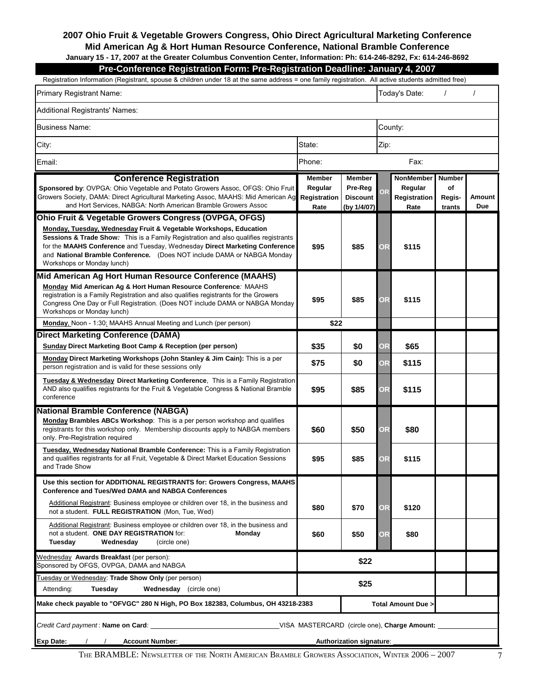#### **2007 Ohio Fruit & Vegetable Growers Congress, Ohio Direct Agricultural Marketing Conference Mid American Ag & Hort Human Resource Conference, National Bramble Conference January 15 - 17, 2007 at the Greater Columbus Convention Center, Information: Ph: 614-246-8292, Fx: 614-246-8692**

| Pre-Conference Registration Form: Pre-Registration Deadline: January 4, 2007                                                                       |  |
|----------------------------------------------------------------------------------------------------------------------------------------------------|--|
| Registration Information (Registrant, spouse & children under 18 at the same address = one family registration. All active students admitted free) |  |

| Primary Registrant Name:                                                                                                                                                                                                                                                                                                                                                                                             |                                                  | Today's Date:<br>$\prime$                                  |           |                                                     |                                   |                            |  |  |  |  |
|----------------------------------------------------------------------------------------------------------------------------------------------------------------------------------------------------------------------------------------------------------------------------------------------------------------------------------------------------------------------------------------------------------------------|--------------------------------------------------|------------------------------------------------------------|-----------|-----------------------------------------------------|-----------------------------------|----------------------------|--|--|--|--|
| Additional Registrants' Names:                                                                                                                                                                                                                                                                                                                                                                                       |                                                  |                                                            |           |                                                     |                                   |                            |  |  |  |  |
| Business Name:                                                                                                                                                                                                                                                                                                                                                                                                       |                                                  |                                                            |           | County:                                             |                                   |                            |  |  |  |  |
| City:                                                                                                                                                                                                                                                                                                                                                                                                                | State:                                           |                                                            | Zip:      |                                                     |                                   |                            |  |  |  |  |
| Email:                                                                                                                                                                                                                                                                                                                                                                                                               | Phone:                                           |                                                            |           | Fax:                                                |                                   | οf<br>Amount<br><b>Due</b> |  |  |  |  |
| <b>Conference Registration</b><br>Sponsored by: OVPGA: Ohio Vegetable and Potato Growers Assoc, OFGS: Ohio Fruit<br>Growers Society, DAMA: Direct Agricultural Marketing Assoc, MAAHS: Mid American Ag<br>and Hort Services, NABGA: North American Bramble Growers Assoc                                                                                                                                             | <b>Member</b><br>Regular<br>Registration<br>Rate | <b>Member</b><br>Pre-Reg<br><b>Discount</b><br>(by 1/4/07) | OR.       | <b>NonMember</b><br>Regular<br>Registration<br>Rate | <b>Number</b><br>Regis-<br>trants |                            |  |  |  |  |
| Ohio Fruit & Vegetable Growers Congress (OVPGA, OFGS)<br>Monday, Tuesday, Wednesday Fruit & Vegetable Workshops, Education<br><b>Sessions &amp; Trade Show:</b> This is a Family Registration and also qualifies registrants<br>for the MAAHS Conference and Tuesday, Wednesday Direct Marketing Conference<br>and National Bramble Conference. (Does NOT include DAMA or NABGA Monday<br>Workshops or Monday lunch) | \$95                                             | \$85                                                       | <b>OR</b> | \$115                                               |                                   |                            |  |  |  |  |
| Mid American Ag Hort Human Resource Conference (MAAHS)<br>Monday Mid American Ag & Hort Human Resource Conference: MAAHS<br>registration is a Family Registration and also qualifies registrants for the Growers<br>Congress One Day or Full Registration. (Does NOT include DAMA or NABGA Monday<br>Workshops or Monday lunch)                                                                                      | \$95                                             | \$85                                                       | <b>OR</b> | \$115                                               |                                   |                            |  |  |  |  |
| Monday, Noon - 1:30: MAAHS Annual Meeting and Lunch (per person)                                                                                                                                                                                                                                                                                                                                                     | \$22                                             |                                                            |           |                                                     |                                   |                            |  |  |  |  |
| Direct Marketing Conference (DAMA)<br>Sunday Direct Marketing Boot Camp & Reception (per person)                                                                                                                                                                                                                                                                                                                     | \$35                                             | \$0                                                        | <b>OR</b> | \$65                                                |                                   |                            |  |  |  |  |
| Monday Direct Marketing Workshops (John Stanley & Jim Cain): This is a per<br>person registration and is valid for these sessions only                                                                                                                                                                                                                                                                               | \$75                                             | \$0                                                        | <b>OR</b> | \$115                                               |                                   |                            |  |  |  |  |
| <b>Tuesday &amp; Wednesday Direct Marketing Conference, This is a Family Registration</b><br>AND also qualifies registrants for the Fruit & Vegetable Congress & National Bramble<br>conference                                                                                                                                                                                                                      | \$95                                             | \$85                                                       | <b>OR</b> | \$115                                               |                                   |                            |  |  |  |  |
| <b>National Bramble Conference (NABGA)</b><br>Monday Brambles ABCs Workshop: This is a per person workshop and qualifies<br>registrants for this workshop only. Membership discounts apply to NABGA members<br>only. Pre-Registration required                                                                                                                                                                       | \$60                                             | \$50                                                       | <b>OR</b> | \$80                                                |                                   |                            |  |  |  |  |
| <b>Tuesday, Wednesday National Bramble Conference:</b> This is a Family Registration<br>and qualifies registrants for all Fruit, Vegetable & Direct Market Education Sessions<br>and Trade Show                                                                                                                                                                                                                      | \$95                                             | \$85                                                       | <b>OR</b> | \$115                                               |                                   |                            |  |  |  |  |
| Use this section for ADDITIONAL REGISTRANTS for: Growers Congress, MAAHS<br><b>Conference and Tues/Wed DAMA and NABGA Conferences</b>                                                                                                                                                                                                                                                                                |                                                  |                                                            |           |                                                     |                                   |                            |  |  |  |  |
| Additional Registrant: Business employee or children over 18, in the business and<br>not a student. FULL REGISTRATION (Mon, Tue, Wed)                                                                                                                                                                                                                                                                                | \$80                                             | \$70                                                       | <b>OR</b> | \$120                                               |                                   |                            |  |  |  |  |
| Additional Registrant: Business employee or children over 18, in the business and<br>not a student. ONE DAY REGISTRATION for:<br>Monday<br>Tuesday<br>Wednesdav<br>(circle one)                                                                                                                                                                                                                                      | \$60                                             | \$50                                                       | OR        | \$80                                                |                                   |                            |  |  |  |  |
| Wednesday Awards Breakfast (per person):<br>Sponsored by OFGS, OVPGA, DAMA and NABGA                                                                                                                                                                                                                                                                                                                                 |                                                  | \$22                                                       |           |                                                     |                                   |                            |  |  |  |  |
| Tuesday or Wednesday: Trade Show Only (per person)<br>Tuesday<br><b>Wednesday</b> (circle one)<br>Attending:                                                                                                                                                                                                                                                                                                         |                                                  | \$25                                                       |           |                                                     |                                   |                            |  |  |  |  |
| Make check payable to "OFVGC" 280 N High, PO Box 182383, Columbus, OH 43218-2383                                                                                                                                                                                                                                                                                                                                     |                                                  |                                                            |           | Total Amount Due >                                  |                                   |                            |  |  |  |  |
| Credit Card payment: Name on Card: Credit Card payment: Name on Card: USA MASTERCARD (circle one), Charge Amount:<br><b>Exp Date:</b><br>$\frac{1}{2}$<br><b>Account Number:</b>                                                                                                                                                                                                                                     |                                                  | Authorization signature:                                   |           |                                                     |                                   |                            |  |  |  |  |

The BRAMBLE: Newsletter of the North American Bramble Growers Association, Winter 2006 – 2007 7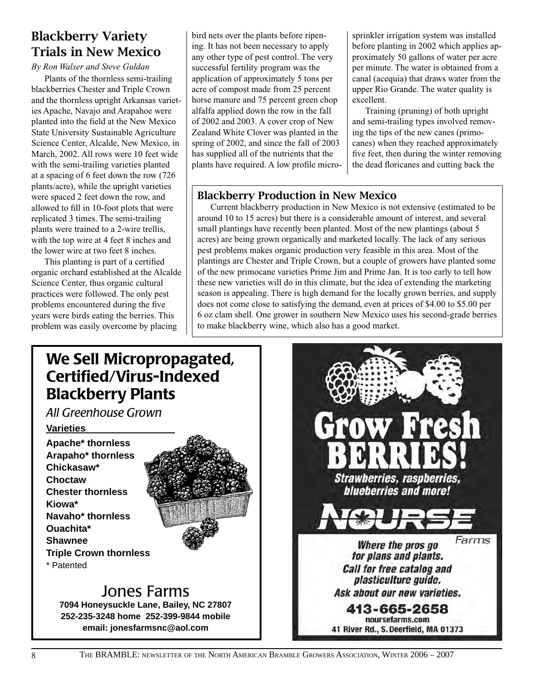### Blackberry Variety Trials in New Mexico

*By Ron Walser and Steve Guldan*

Plants of the thornless semi-trailing blackberries Chester and Triple Crown and the thornless upright Arkansas varieties Apache, Navajo and Arapahoe were planted into the field at the New Mexico State University Sustainable Agriculture Science Center, Alcalde, New Mexico, in March, 2002. All rows were 10 feet wide with the semi-trailing varieties planted at a spacing of 6 feet down the row (726 plants/acre), while the upright varieties were spaced 2 feet down the row, and allowed to fill in 10-foot plots that were replicated 3 times. The semi-trailing plants were trained to a 2-wire trellis, with the top wire at 4 feet 8 inches and the lower wire at two feet 8 inches.

This planting is part of a certified organic orchard established at the Alcalde Science Center, thus organic cultural practices were followed. The only pest problems encountered during the five years were birds eating the berries. This problem was easily overcome by placing

bird nets over the plants before ripening. It has not been necessary to apply any other type of pest control. The very successful fertility program was the application of approximately 5 tons per acre of compost made from 25 percent horse manure and 75 percent green chop alfalfa applied down the row in the fall of 2002 and 2003. A cover crop of New Zealand White Clover was planted in the spring of 2002, and since the fall of 2003 has supplied all of the nutrients that the plants have required. A low profile microsprinkler irrigation system was installed before planting in 2002 which applies approximately 50 gallons of water per acre per minute. The water is obtained from a canal (acequia) that draws water from the upper Rio Grande. The water quality is excellent.

Training (pruning) of both upright and semi-trailing types involved removing the tips of the new canes (primocanes) when they reached approximately five feet, then during the winter removing the dead floricanes and cutting back the

### Blackberry Production in New Mexico

Current blackberry production in New Mexico is not extensive (estimated to be around 10 to 15 acres) but there is a considerable amount of interest, and several small plantings have recently been planted. Most of the new plantings (about 5 acres) are being grown organically and marketed locally. The lack of any serious pest problems makes organic production very feasible in this area. Most of the plantings are Chester and Triple Crown, but a couple of growers have planted some of the new primocane varieties Prime Jim and Prime Jan. It is too early to tell how these new varieties will do in this climate, but the idea of extending the marketing season is appealing. There is high demand for the locally grown berries, and supply does not come close to satisfying the demand, even at prices of \$4.00 to \$5.00 per 6 oz clam shell. One grower in southern New Mexico uses his second-grade berries to make blackberry wine, which also has a good market.

### We Sell Micropropagated, Certified/Virus-Indexed Blackberry Plants

*All Greenhouse Grown*

### **Varieties**

**Apache\* thornless Arapaho\* thornless Chickasaw\* Choctaw Chester thornless Kiowa\* Navaho\* thornless Ouachita\* Shawnee Triple Crown thornless**  \* Patented



### Jones Farms

**7094 Honeysuckle Lane, Bailey, NC 27807 252-235-3248 home 252-399-9844 mobile email: jonesfarmsnc@aol.com**

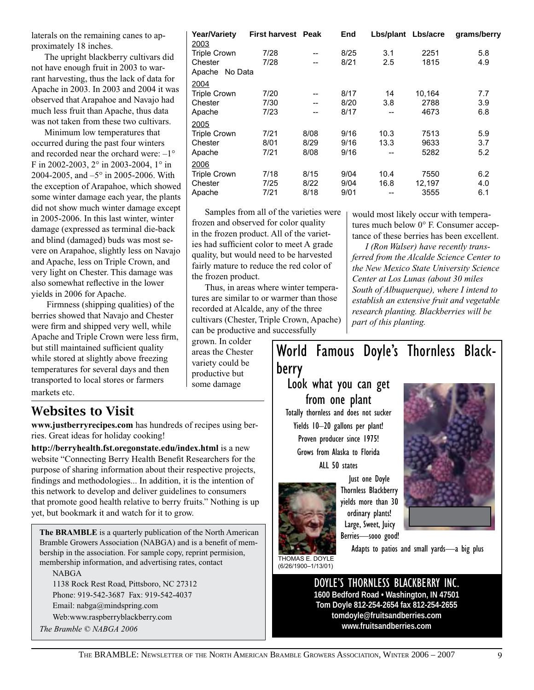laterals on the remaining canes to approximately 18 inches.

The upright blackberry cultivars did not have enough fruit in 2003 to warrant harvesting, thus the lack of data for Apache in 2003. In 2003 and 2004 it was observed that Arapahoe and Navajo had much less fruit than Apache, thus data was not taken from these two cultivars.

Minimum low temperatures that occurred during the past four winters and recorded near the orchard were: –1° F in 2002-2003, 2° in 2003-2004, 1° in 2004-2005, and –5° in 2005-2006. With the exception of Arapahoe, which showed some winter damage each year, the plants did not show much winter damage except in 2005-2006. In this last winter, winter damage (expressed as terminal die-back and blind (damaged) buds was most severe on Arapahoe, slightly less on Navajo and Apache, less on Triple Crown, and very light on Chester. This damage was also somewhat reflective in the lower yields in 2006 for Apache.

 Firmness (shipping qualities) of the berries showed that Navajo and Chester were firm and shipped very well, while Apache and Triple Crown were less firm, but still maintained sufficient quality while stored at slightly above freezing temperatures for several days and then transported to local stores or farmers markets etc.

### Websites to Visit

**www.justberryrecipes.com** has hundreds of recipes using berries. Great ideas for holiday cooking!

**http://berryhealth.fst.oregonstate.edu/index.html** is a new website "Connecting Berry Health Benefit Researchers for the purpose of sharing information about their respective projects, findings and methodologies... In addition, it is the intention of this network to develop and deliver guidelines to consumers that promote good health relative to berry fruits." Nothing is up yet, but bookmark it and watch for it to grow.

**The BRAMBLE** is a quarterly publication of the North American Bramble Growers Association (NABGA) and is a benefit of membership in the association. For sample copy, reprint permision, membership information, and advertising rates, contact

NABGA

1138 Rock Rest Road, Pittsboro, NC 27312 Phone: 919-542-3687 Fax: 919-542-4037 Email: nabga@mindspring.com Web:www.raspberryblackberry.com *The Bramble © NABGA 2006*

| <b>Year/Variety</b><br>2003 | <b>First harvest</b> | Peak | End  | Lbs/plant Lbs/acre |        | grams/berry |
|-----------------------------|----------------------|------|------|--------------------|--------|-------------|
| <b>Triple Crown</b>         | 7/28                 | --   | 8/25 | 3.1                | 2251   | 5.8         |
| Chester                     | 7/28                 | --   | 8/21 | 2.5                | 1815   | 4.9         |
| Apache<br>No Data           |                      |      |      |                    |        |             |
| 2004                        |                      |      |      |                    |        |             |
| <b>Triple Crown</b>         | 7/20                 | --   | 8/17 | 14                 | 10,164 | 7.7         |
| Chester                     | 7/30                 | --   | 8/20 | 3.8                | 2788   | 3.9         |
| Apache                      | 7/23                 | --   | 8/17 | --                 | 4673   | 6.8         |
| 2005                        |                      |      |      |                    |        |             |
| <b>Triple Crown</b>         | 7/21                 | 8/08 | 9/16 | 10.3               | 7513   | 5.9         |
| Chester                     | 8/01                 | 8/29 | 9/16 | 13.3               | 9633   | 3.7         |
| Apache                      | 7/21                 | 8/08 | 9/16 | --                 | 5282   | 5.2         |
| 2006                        |                      |      |      |                    |        |             |
| <b>Triple Crown</b>         | 7/18                 | 8/15 | 9/04 | 10.4               | 7550   | 6.2         |
| Chester                     | 7/25                 | 8/22 | 9/04 | 16.8               | 12,197 | 4.0         |
| Apache                      | 7/21                 | 8/18 | 9/01 | --                 | 3555   | 6.1         |

Samples from all of the varieties were frozen and observed for color quality in the frozen product. All of the varieties had sufficient color to meet A grade quality, but would need to be harvested fairly mature to reduce the red color of the frozen product.

Thus, in areas where winter temperatures are similar to or warmer than those recorded at Alcalde, any of the three cultivars (Chester, Triple Crown, Apache) can be productive and successfully

grown. In colder areas the Chester variety could be productive but some damage

would most likely occur with temperatures much below 0° F. Consumer acceptance of these berries has been excellent.

*I (Ron Walser) have recently transferred from the Alcalde Science Center to the New Mexico State University Science Center at Los Lunas (about 30 miles South of Albuquerque), where I intend to establish an extensive fruit and vegetable research planting. Blackberries will be part of this planting.* 

### World Famous Doyle's Thornless Blackberry

Look what you can get from one plant

Totally thornless and does not sucker Yields 10–20 gallons per plant! Proven producer since 1975! Grows from Alaska to Florida ALL 50 states



Just one Doyle Thornless Blackberry yields more than 30 ordinary plants! Large, Sweet, Juicy Berries—sooo good!



THOMAS E. DOYLE (6/26/1900–1/13/01)

Adapts to patios and small yards—a big plus

DOYLE'S THORNLESS BLACKBERRY INC. **1600 Bedford Road • Washington, IN 47501 Tom Doyle 812-254-2654 fax 812-254-2655 tomdoyle@fruitsandberries.com www.fruitsandberries.com**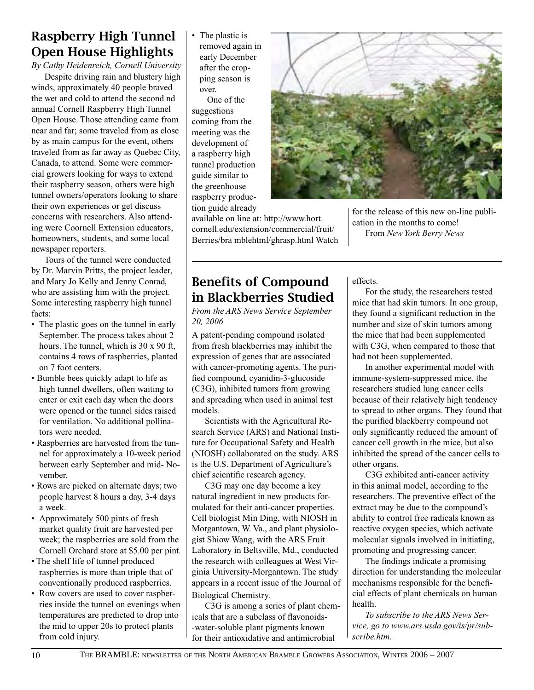### Raspberry High Tunnel Open House Highlights

*By Cathy Heidenreich, Cornell University*

Despite driving rain and blustery high winds, approximately 40 people braved the wet and cold to attend the second nd annual Cornell Raspberry High Tunnel Open House. Those attending came from near and far; some traveled from as close by as main campus for the event, others traveled from as far away as Quebec City, Canada, to attend. Some were commercial growers looking for ways to extend their raspberry season, others were high tunnel owners/operators looking to share their own experiences or get discuss concerns with researchers. Also attending were Coornell Extension educators, homeowners, students, and some local newspaper reporters.

Tours of the tunnel were conducted by Dr. Marvin Pritts, the project leader, and Mary Jo Kelly and Jenny Conrad, who are assisting him with the project. Some interesting raspberry high tunnel facts:

- The plastic goes on the tunnel in early September. The process takes about 2 hours. The tunnel, which is 30 x 90 ft, contains 4 rows of raspberries, planted on 7 foot centers.
- Bumble bees quickly adapt to life as high tunnel dwellers, often waiting to enter or exit each day when the doors were opened or the tunnel sides raised for ventilation. No additional pollinators were needed.
- Raspberries are harvested from the tunnel for approximately a 10-week period between early September and mid- November.
- Rows are picked on alternate days; two people harvest 8 hours a day, 3-4 days a week.
- Approximately 500 pints of fresh market quality fruit are harvested per week; the raspberries are sold from the Cornell Orchard store at \$5.00 per pint.
- The shelf life of tunnel produced raspberries is more than triple that of conventionally produced raspberries.
- Row covers are used to cover raspberries inside the tunnel on evenings when temperatures are predicted to drop into the mid to upper 20s to protect plants from cold injury.

• The plastic is removed again in early December after the cropping season is over.

One of the suggestions coming from the meeting was the development of a raspberry high tunnel production guide similar to the greenhouse raspberry production guide already



available on line at: http://www.hort. cornell.edu/extension/commercial/fruit/ Berries/bra mblehtml/ghrasp.html Watch for the release of this new on-line publication in the months to come! From *New York Berry News*

### Benefits of Compound in Blackberries Studied

*From the ARS News Service September 20, 2006*

A patent-pending compound isolated from fresh blackberries may inhibit the expression of genes that are associated with cancer-promoting agents. The purified compound, cyanidin-3-glucoside (C3G), inhibited tumors from growing and spreading when used in animal test models.

Scientists with the Agricultural Research Service (ARS) and National Institute for Occupational Safety and Health (NIOSH) collaborated on the study. ARS is the U.S. Department of Agriculture's chief scientific research agency.

C3G may one day become a key natural ingredient in new products formulated for their anti-cancer properties. Cell biologist Min Ding, with NIOSH in Morgantown, W. Va., and plant physiologist Shiow Wang, with the ARS Fruit Laboratory in Beltsville, Md., conducted the research with colleagues at West Virginia University-Morgantown. The study appears in a recent issue of the Journal of Biological Chemistry.

C3G is among a series of plant chemicals that are a subclass of flavonoids- -water-soluble plant pigments known for their antioxidative and antimicrobial

effects.

For the study, the researchers tested mice that had skin tumors. In one group, they found a significant reduction in the number and size of skin tumors among the mice that had been supplemented with C3G, when compared to those that had not been supplemented.

In another experimental model with immune-system-suppressed mice, the researchers studied lung cancer cells because of their relatively high tendency to spread to other organs. They found that the purified blackberry compound not only significantly reduced the amount of cancer cell growth in the mice, but also inhibited the spread of the cancer cells to other organs.

C3G exhibited anti-cancer activity in this animal model, according to the researchers. The preventive effect of the extract may be due to the compound's ability to control free radicals known as reactive oxygen species, which activate molecular signals involved in initiating, promoting and progressing cancer.

The findings indicate a promising direction for understanding the molecular mechanisms responsible for the beneficial effects of plant chemicals on human health.

*To subscribe to the ARS News Service, go to www.ars.usda.gov/is/pr/subscribe.htm.*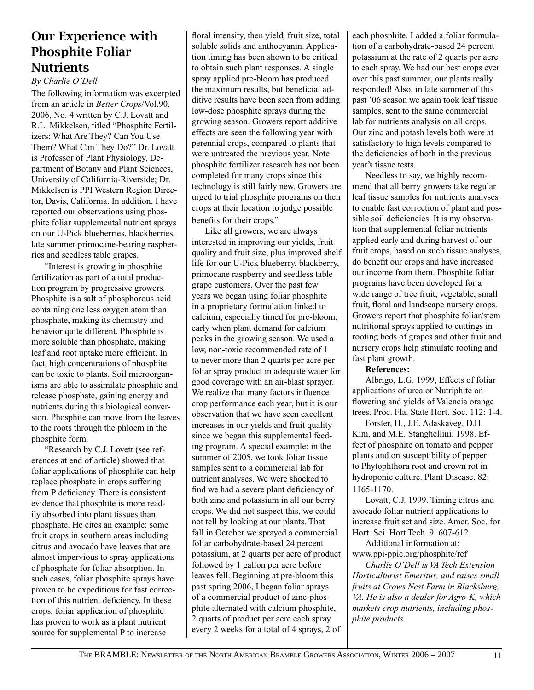### Our Experience with Phosphite Foliar **Nutrients**

#### *By Charlie O'Dell*

The following information was excerpted from an article in *Better Crops*/Vol.90, 2006, No. 4 written by C.J. Lovatt and R.L. Mikkelsen, titled "Phosphite Fertilizers: What Are They? Can You Use Them? What Can They Do?" Dr. Lovatt is Professor of Plant Physiology, Department of Botany and Plant Sciences, University of California-Riverside; Dr. Mikkelsen is PPI Western Region Director, Davis, California. In addition, I have reported our observations using phosphite foliar supplemental nutrient sprays on our U-Pick blueberries, blackberries, late summer primocane-bearing raspberries and seedless table grapes.

"Interest is growing in phosphite fertilization as part of a total production program by progressive growers. Phosphite is a salt of phosphorous acid containing one less oxygen atom than phosphate, making its chemistry and behavior quite different. Phosphite is more soluble than phosphate, making leaf and root uptake more efficient. In fact, high concentrations of phosphite can be toxic to plants. Soil microorganisms are able to assimilate phosphite and release phosphate, gaining energy and nutrients during this biological conversion. Phosphite can move from the leaves to the roots through the phloem in the phosphite form.

"Research by C.J. Lovett (see references at end of article) showed that foliar applications of phosphite can help replace phosphate in crops suffering from P deficiency. There is consistent evidence that phosphite is more readily absorbed into plant tissues than phosphate. He cites an example: some fruit crops in southern areas including citrus and avocado have leaves that are almost impervious to spray applications of phosphate for foliar absorption. In such cases, foliar phosphite sprays have proven to be expeditious for fast correction of this nutrient deficiency. In these crops, foliar application of phosphite has proven to work as a plant nutrient source for supplemental P to increase

floral intensity, then yield, fruit size, total soluble solids and anthocyanin. Application timing has been shown to be critical to obtain such plant responses. A single spray applied pre-bloom has produced the maximum results, but beneficial additive results have been seen from adding low-dose phosphite sprays during the growing season. Growers report additive effects are seen the following year with perennial crops, compared to plants that were untreated the previous year. Note: phosphite fertilizer research has not been completed for many crops since this technology is still fairly new. Growers are urged to trial phosphite programs on their crops at their location to judge possible benefits for their crops."

Like all growers, we are always interested in improving our yields, fruit quality and fruit size, plus improved shelf life for our U-Pick blueberry, blackberry, primocane raspberry and seedless table grape customers. Over the past few years we began using foliar phosphite in a proprietary formulation linked to calcium, especially timed for pre-bloom, early when plant demand for calcium peaks in the growing season. We used a low, non-toxic recommended rate of 1 to never more than 2 quarts per acre per foliar spray product in adequate water for good coverage with an air-blast sprayer. We realize that many factors influence crop performance each year, but it is our observation that we have seen excellent increases in our yields and fruit quality since we began this supplemental feeding program. A special example: in the summer of 2005, we took foliar tissue samples sent to a commercial lab for nutrient analyses. We were shocked to find we had a severe plant deficiency of both zinc and potassium in all our berry crops. We did not suspect this, we could not tell by looking at our plants. That fall in October we sprayed a commercial foliar carbohydrate-based 24 percent potassium, at 2 quarts per acre of product followed by 1 gallon per acre before leaves fell. Beginning at pre-bloom this past spring 2006, I began foliar sprays of a commercial product of zinc-phosphite alternated with calcium phosphite, 2 quarts of product per acre each spray every 2 weeks for a total of 4 sprays, 2 of

each phosphite. I added a foliar formulation of a carbohydrate-based 24 percent potassium at the rate of 2 quarts per acre to each spray. We had our best crops ever over this past summer, our plants really responded! Also, in late summer of this past '06 season we again took leaf tissue samples, sent to the same commercial lab for nutrients analysis on all crops. Our zinc and potash levels both were at satisfactory to high levels compared to the deficiencies of both in the previous year's tissue tests.

Needless to say, we highly recommend that all berry growers take regular leaf tissue samples for nutrients analyses to enable fast correction of plant and possible soil deficiencies. It is my observation that supplemental foliar nutrients applied early and during harvest of our fruit crops, based on such tissue analyses, do benefit our crops and have increased our income from them. Phosphite foliar programs have been developed for a wide range of tree fruit, vegetable, small fruit, floral and landscape nursery crops. Growers report that phosphite foliar/stem nutritional sprays applied to cuttings in rooting beds of grapes and other fruit and nursery crops help stimulate rooting and fast plant growth.

#### **References:**

Albrigo, L.G. 1999, Effects of foliar applications of urea or Nutriphite on flowering and yields of Valencia orange trees. Proc. Fla. State Hort. Soc. 112: 1-4.

Forster, H., J.E. Adaskaveg, D.H. Kim, and M.E. Stanghellini. 1998. Effect of phosphite on tomato and pepper plants and on susceptibility of pepper to Phytophthora root and crown rot in hydroponic culture. Plant Disease. 82: 1165-1170.

Lovatt, C.J. 1999. Timing citrus and avocado foliar nutrient applications to increase fruit set and size. Amer. Soc. for Hort. Sci. Hort Tech. 9: 607-612.

Additional information at: www.ppi-ppic.org/phosphite/ref

*Charlie O'Dell is VA Tech Extension Horticulturist Emeritus, and raises small fruits at Crows Nest Farm in Blacksburg, VA. He is also a dealer for Agro-K, which markets crop nutrients, including phosphite products.*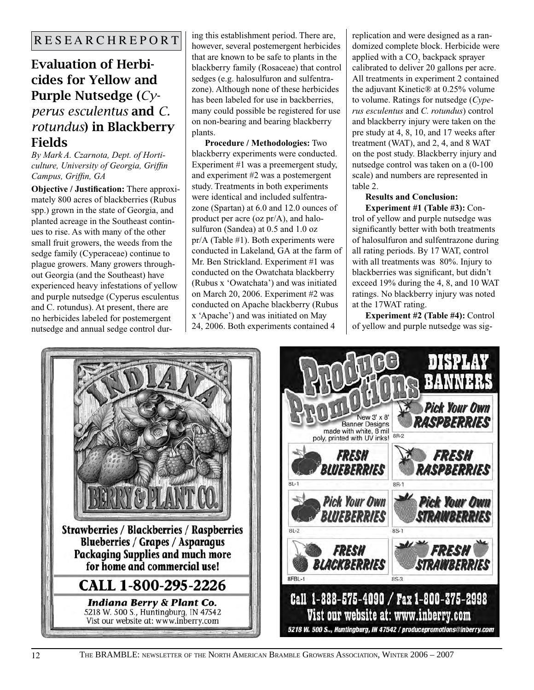### Evaluation of Herbicides for Yellow and Purple Nutsedge (*Cy-*

### *perus esculentus* and *C. rotundus*) in Blackberry Fields

*By Mark A. Czarnota, Dept. of Horticulture, University of Georgia, Griffin Campus, Griffin, GA* 

**Objective / Justification:** There approximately 800 acres of blackberries (Rubus spp.) grown in the state of Georgia, and planted acreage in the Southeast continues to rise. As with many of the other small fruit growers, the weeds from the sedge family (Cyperaceae) continue to plague growers. Many growers throughout Georgia (and the Southeast) have experienced heavy infestations of yellow and purple nutsedge (Cyperus esculentus and C. rotundus). At present, there are no herbicides labeled for postemergent nutsedge and annual sedge control during this establishment period. There are, however, several postemergent herbicides that are known to be safe to plants in the blackberry family (Rosaceae) that control sedges (e.g. halosulfuron and sulfentrazone). Although none of these herbicides has been labeled for use in backberries, many could possible be registered for use on non-bearing and bearing blackberry plants.

**Procedure / Methodologies:** Two blackberry experiments were conducted. Experiment #1 was a preemergent study, and experiment #2 was a postemergent study. Treatments in both experiments were identical and included sulfentrazone (Spartan) at 6.0 and 12.0 ounces of product per acre (oz pr/A), and halosulfuron (Sandea) at 0.5 and 1.0 oz pr/A (Table #1). Both experiments were conducted in Lakeland, GA at the farm of Mr. Ben Strickland. Experiment #1 was conducted on the Owatchata blackberry (Rubus x 'Owatchata') and was initiated on March 20, 2006. Experiment #2 was conducted on Apache blackberry (Rubus x 'Apache') and was initiated on May 24, 2006. Both experiments contained 4

replication and were designed as a randomized complete block. Herbicide were applied with a  $CO<sub>2</sub>$  backpack sprayer calibrated to deliver 20 gallons per acre. All treatments in experiment 2 contained the adjuvant Kinetic® at 0.25% volume to volume. Ratings for nutsedge (*Cyperus esculentus* and *C. rotundus*) control and blackberry injury were taken on the pre study at 4, 8, 10, and 17 weeks after treatment (WAT), and 2, 4, and 8 WAT on the post study. Blackberry injury and nutsedge control was taken on a (0-100 scale) and numbers are represented in table 2.

#### **Results and Conclusion: Experiment #1 (Table #3):** Con-

trol of yellow and purple nutsedge was significantly better with both treatments of halosulfuron and sulfentrazone during all rating periods. By 17 WAT, control with all treatments was  $80\%$ . Injury to blackberries was significant, but didn't exceed 19% during the 4, 8, and 10 WAT ratings. No blackberry injury was noted at the 17WAT rating.

**Experiment #2 (Table #4):** Control of yellow and purple nutsedge was sig-



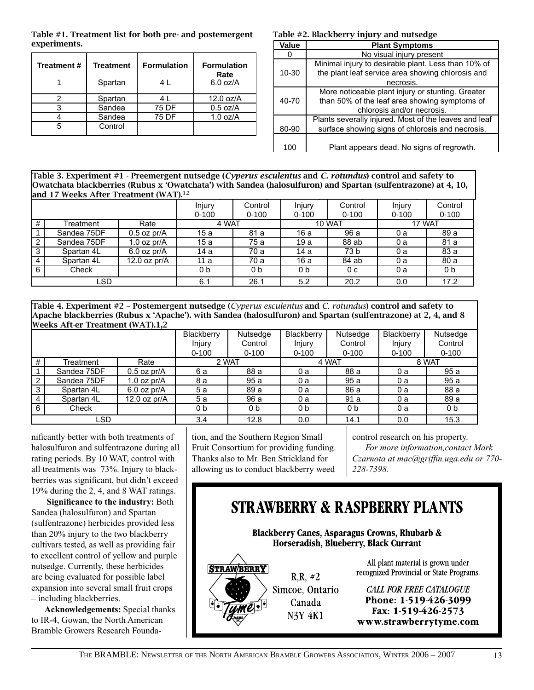Table #1. Treatment list for both pre- and postemergent experiments. **Construction Construction Construction Construction Construction Plant Symptoms** 

| Treatment # | <b>Treatment</b> | <b>Formulation</b> | <b>Formulation</b><br>Rate |
|-------------|------------------|--------------------|----------------------------|
|             | Spartan          | 4 L                | $6.0$ oz/A                 |
|             | Spartan          |                    | $12.0$ oz/A                |
|             | Sandea           | 75 DF              | $0.5$ oz/A                 |
|             | Sandea           | 75 DF              | $1.0$ oz/A                 |
|             | Control          |                    |                            |

#### Table #2. Blackberry injury and nutsedge

| Value<br><b>Plant Symptoms</b> |                                                       |  |  |  |  |  |  |
|--------------------------------|-------------------------------------------------------|--|--|--|--|--|--|
|                                | No visual injury present                              |  |  |  |  |  |  |
|                                | Minimal injury to desirable plant. Less than 10% of   |  |  |  |  |  |  |
| $10 - 30$                      | the plant leaf service area showing chlorosis and     |  |  |  |  |  |  |
|                                | necrosis.                                             |  |  |  |  |  |  |
|                                | More noticeable plant injury or stunting. Greater     |  |  |  |  |  |  |
| 40-70                          | than 50% of the leaf area showing symptoms of         |  |  |  |  |  |  |
|                                | chlorosis and/or necrosis.                            |  |  |  |  |  |  |
|                                | Plants severally injured. Most of the leaves and leaf |  |  |  |  |  |  |
| 80-90                          | surface showing signs of chlorosis and necrosis.      |  |  |  |  |  |  |
|                                |                                                       |  |  |  |  |  |  |
| 100                            | Plant appears dead. No signs of regrowth.             |  |  |  |  |  |  |

 $\frac{2}{\sqrt{2}}$ Nutsedge Blackberry Constantinople Nutsedge <u>Blackberry Holland</u> Nutsedge Table 3. Experiment #1 - Preemergent nutsedge (*Cyperus esculentus* and *C. rotundus*) control and safety to Owatchata blackberries (Rubus x 'Owatchata') with Sandea (halosulfuron) and Spartan (sulfentrazone) at 4, 10, and 17 Weeks After Treatment (WAT).<sup>1,2</sup>

|                |             |                | Injury<br>$0 - 100$ | Control<br>$0 - 100$ | Injury<br>$0 - 100$ | Control<br>$0 - 100$ | Injury<br>$0 - 100$ | Control<br>$0 - 100$ |
|----------------|-------------|----------------|---------------------|----------------------|---------------------|----------------------|---------------------|----------------------|
| #              | Treatment   | Rate           | 4 WAT               |                      |                     | 10 WAT               | 17 WAT              |                      |
|                | Sandea 75DF | $0.5$ oz pr/A  | 15a                 | 81 a                 | 16 a                | 96 a                 | 0 a                 | 89 a                 |
| $\overline{2}$ | Sandea 75DF | 1.0 oz $pr/A$  | 15 a                | 75 a                 | 19a                 | 88 ab                | 0a                  | 81 a                 |
| 3              | Spartan 4L  | $6.0$ oz pr/A  | 14 a                | 70 a                 | 14 a                | 73 b                 | 0 a                 | 83 a                 |
| 4              | Spartan 4L  | 12.0 oz $pr/A$ | 11 a                | 70 a                 | 16 a                | 84 ab                | 0a                  | 80 a                 |
| 6              | Check       |                | 0b                  | 0 <sub>b</sub>       | 0b                  | 0 <sub>c</sub>       | 0 a                 | 0 <sub>b</sub>       |
| LSD            |             |                | 6.1                 | 26.1                 | 5.2                 | 20.2                 | 0.0                 | 17.2                 |

Table 4. Experiment #2 – Postemergent nutsedge (*Cyperus esculentus* and *C. rotundus*) control and safety to Apache blackberries (Rubus x 'Apache'). with Sandea (halosulfuron) and Spartan (sulfentrazone) at 2, 4, and 8 Weeks Aft-er Treatment (WAT).1,2

|   | $\mu$ can $\mu$ and $\mu$ are a measured $\mu$ |                |            |           |            |                |            |                |
|---|------------------------------------------------|----------------|------------|-----------|------------|----------------|------------|----------------|
|   |                                                |                | Blackberry | Nutsedge  | Blackberry | Nutsedge       | Blackberry | Nutsedge       |
|   |                                                |                | Injury     | Control   | Injury     | Control        | Injury     | Control        |
|   |                                                |                | $0 - 100$  | $0 - 100$ | $0 - 100$  | $0 - 100$      | $0 - 100$  | $0 - 100$      |
| # | Treatment                                      | Rate           |            | 2 WAT     |            | 4 WAT          |            | 8 WAT          |
|   | Sandea 75DF                                    | $0.5$ oz pr/A  | 6а         | 88 a      | 0 a        | 88 a           | 0 a        | 95 a           |
| 2 | Sandea 75DF                                    | 1.0 oz $pr/A$  | 8а         | 95 a      | 0a         | 95 a           | 0 a        | 95 a           |
| 3 | Spartan 4L                                     | $6.0$ oz pr/A  | 5а         | 89 a      | 0a         | 86 a           | 0 a        | 88 a           |
| 4 | Spartan 4L                                     | 12.0 oz $pr/A$ | 5а         | 96 a      | 0 a        | 91 a           | 0 a        | 89 a           |
| 6 | Check                                          |                | 0b         | 0b        | 0b         | 0 <sub>b</sub> | 0 a        | 0 <sub>b</sub> |
|   | LSD                                            |                | 3.4        | 12.8      | 0.0        | 14.1           | 0.0        | 15.3           |

nificantly better with both treatments of halosulfuron and sulfentrazone during all rating periods. By 10 WAT, control with all treatments was  $73%$ . Injury to blackberries was significant, but didn't exceed 19% during the 2, 4, and 8 WAT ratings.

**Significance to the industry:** Both Sandea (halosulfuron) and Spartan (sulfentrazone) herbicides provided less than 20% injury to the two blackberry cultivars tested, as well as providing fair to excellent control of yellow and purple nutsedge. Currently, these herbicides are being evaluated for possible label expansion into several small fruit crops – including blackberries.

**Acknowledgements:** Special thanks to IR-4, Gowan, the North American Bramble Growers Research Foundation, and the Southern Region Small Fruit Consortium for providing funding. Thanks also to Mr. Ben Strickland for allowing us to conduct blackberry weed

control research on his property.

*For more information,contact Mark Czarnota at mac@griffin.uga.edu or 770- 228-7398.* 

## **STRAWBERRY & RASPBERRY PLANTS**

**Blackberry Canes, Asparagus Crowns, Rhubarb &** Horseradish, Blueberry, Black Currant



 $R, R, #2$ Simcoe, Ontario Canada N3Y 4K1

All plant material is grown under recognized Provincial or State Programs.

**CALL FOR FREE CATALOGUE** Phone: 1-519-426-3099 Fax: 1-519-426-2573 www.strawberrytyme.com